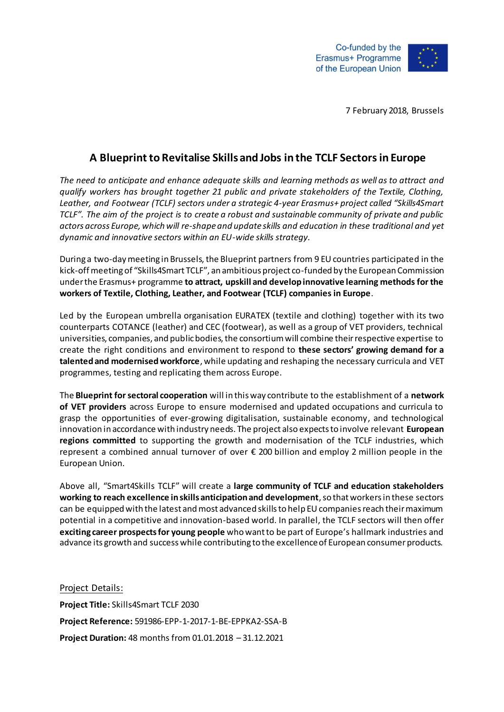

7 February 2018, Brussels

## **A Blueprint to Revitalise Skills and Jobs in the TCLF Sectors in Europe**

*The need to anticipate and enhance adequate skills and learning methods as well as to attract and qualify workers has brought together 21 public and private stakeholders of the Textile, Clothing, Leather, and Footwear (TCLF) sectors under a strategic 4-year Erasmus+ project called "Skills4Smart TCLF". The aim of the project is to create a robust and sustainable community of private and public actors across Europe, which will re-shape and update skills and education in these traditional and yet dynamic and innovative sectors within an EU-wide skills strategy.* 

During a two-day meeting in Brussels, the Blueprint partners from 9 EU countries participated in the kick-off meeting of "Skills4Smart TCLF", an ambitious project co-funded by the European Commission under the Erasmus+ programme **to attract, upskill and develop innovative learning methods for the workers of Textile, Clothing, Leather, and Footwear (TCLF) companies in Europe**.

Led by the European umbrella organisation EURATEX (textile and clothing) together with its two counterparts COTANCE (leather) and CEC (footwear), as well as a group of VET providers, technical universities, companies, and public bodies, the consortium will combine their respective expertise to create the right conditions and environment to respond to **these sectors' growing demand for a talented and modernised workforce**, while updating and reshaping the necessary curricula and VET programmes, testing and replicating them across Europe.

The **Blueprint for sectoral cooperation** will in this way contribute to the establishment of a **network of VET providers** across Europe to ensure modernised and updated occupations and curricula to grasp the opportunities of ever-growing digitalisation, sustainable economy, and technological innovation in accordance with industry needs. The project also expects to involve relevant **European regions committed** to supporting the growth and modernisation of the TCLF industries, which represent a combined annual turnover of over € 200 billion and employ 2 million people in the European Union.

Above all, "Smart4Skills TCLF" will create a **large community of TCLF and education stakeholders working to reach excellence in skills anticipation and development**, so that workers in these sectors can be equipped with the latest and most advanced skills to help EU companies reach their maximum potential in a competitive and innovation-based world. In parallel, the TCLF sectors will then offer **exciting career prospects for young people** who want to be part of Europe's hallmark industries and advance its growth and success while contributing to the excellence of European consumer products.

Project Details: **Project Title:** Skills4Smart TCLF 2030 **Project Reference:** 591986-EPP-1-2017-1-BE-EPPKA2-SSA-B **Project Duration:** 48 months from 01.01.2018 – 31.12.2021